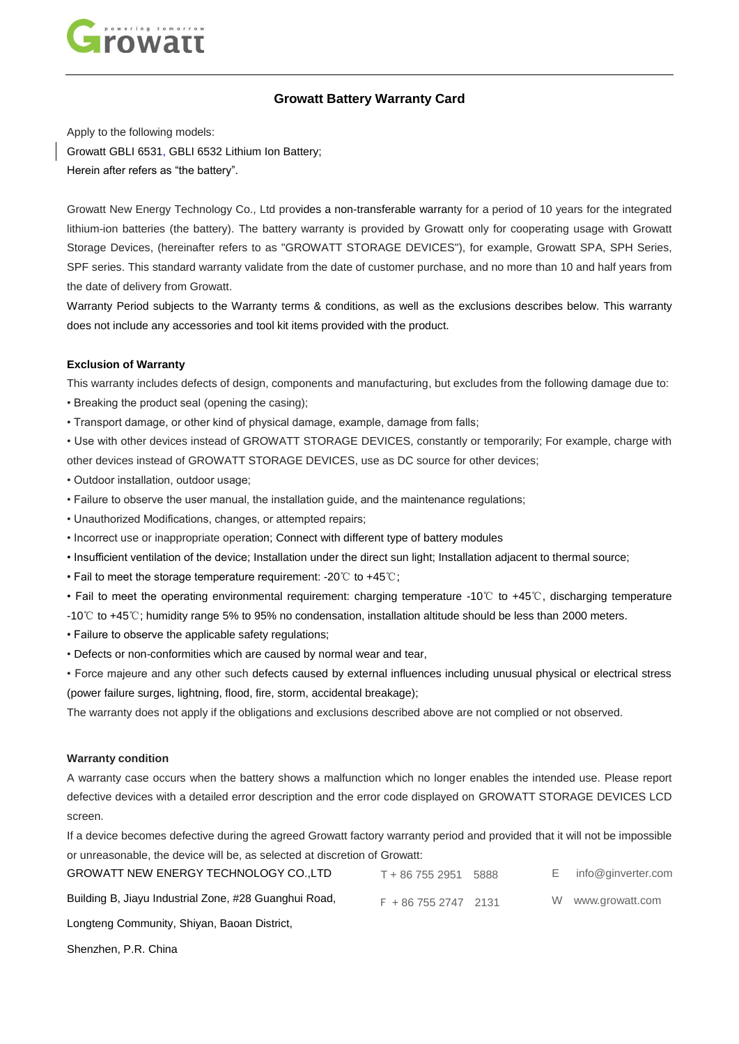

# **Growatt Battery Warranty Card**

Apply to the following models: Growatt GBLI 6531, GBLI 6532 Lithium Ion Battery; Herein after refers as "the battery".

Growatt New Energy Technology Co., Ltd provides a non-transferable warranty for a period of 10 years for the integrated lithium-ion batteries (the battery). The battery warranty is provided by Growatt only for cooperating usage with Growatt Storage Devices, (hereinafter refers to as "GROWATT STORAGE DEVICES"), for example, Growatt SPA, SPH Series, SPF series. This standard warranty validate from the date of customer purchase, and no more than 10 and half years from the date of delivery from Growatt.

Warranty Period subjects to the Warranty terms & conditions, as well as the exclusions describes below. This warranty does not include any accessories and tool kit items provided with the product.

### **Exclusion of Warranty**

This warranty includes defects of design, components and manufacturing, but excludes from the following damage due to:

- Breaking the product seal (opening the casing);
- Transport damage, or other kind of physical damage, example, damage from falls;

• Use with other devices instead of GROWATT STORAGE DEVICES, constantly or temporarily; For example, charge with other devices instead of GROWATT STORAGE DEVICES, use as DC source for other devices;

- Outdoor installation, outdoor usage;
- Failure to observe the user manual, the installation guide, and the maintenance regulations;
- Unauthorized Modifications, changes, or attempted repairs;
- Incorrect use or inappropriate operation; Connect with different type of battery modules
- Insufficient ventilation of the device; Installation under the direct sun light; Installation adjacent to thermal source;
- Fail to meet the storage temperature requirement: -20℃ to +45℃;
- Fail to meet the operating environmental requirement: charging temperature -10℃ to +45℃, discharging temperature -10℃ to +45℃; humidity range 5% to 95% no condensation, installation altitude should be less than 2000 meters.
- Failure to observe the applicable safety regulations;
- Defects or non-conformities which are caused by normal wear and tear,
- Force majeure and any other such defects caused by external influences including unusual physical or electrical stress (power failure surges, lightning, flood, fire, storm, accidental breakage);

The warranty does not apply if the obligations and exclusions described above are not complied or not observed.

#### **Warranty condition**

A warranty case occurs when the battery shows a malfunction which no longer enables the intended use. Please report defective devices with a detailed error description and the error code displayed on GROWATT STORAGE DEVICES LCD screen.

If a device becomes defective during the agreed Growatt factory warranty period and provided that it will not be impossible or unreasonable, the device will be, as selected at discretion of Growatt:

| GROWATT NEW ENERGY TECHNOLOGY COLTD                   | T + 86 755 2951     | 5888 | info@ginverter.com |
|-------------------------------------------------------|---------------------|------|--------------------|
| Building B, Jiayu Industrial Zone, #28 Guanghui Road, | $F + 8675527472131$ |      | W www.growatt.com  |
| Longteng Community, Shiyan, Baoan District,           |                     |      |                    |

Shenzhen, P.R. China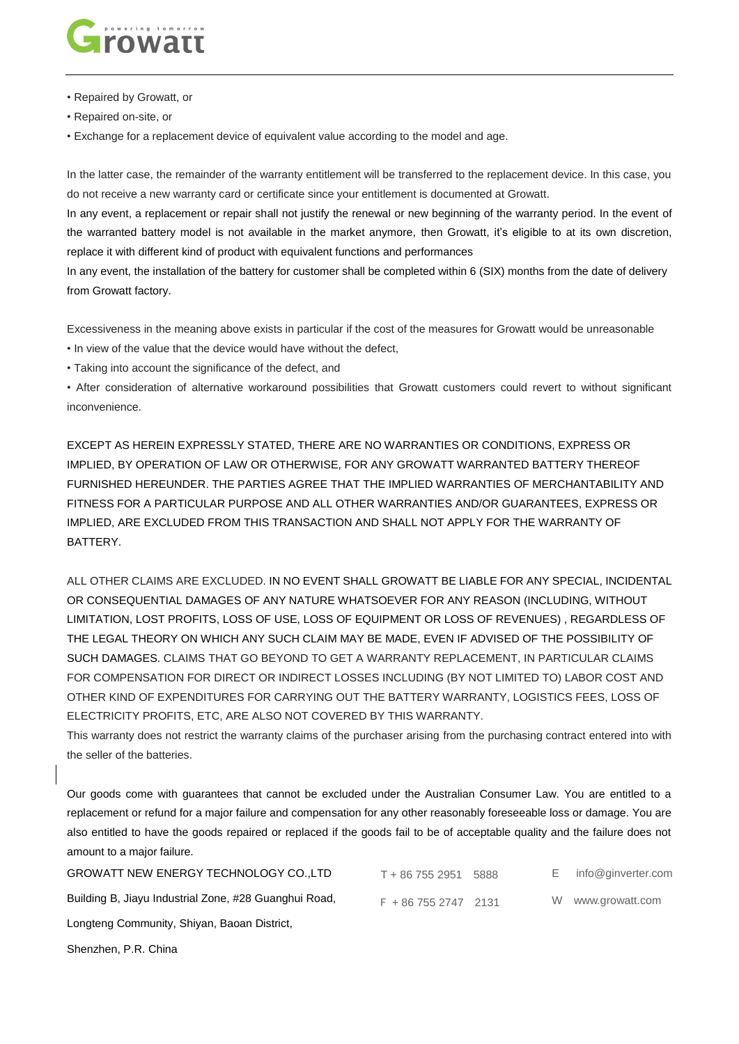

- Repaired by Growatt, or
- Repaired on-site, or

• Exchange for a replacement device of equivalent value according to the model and age.

In the latter case, the remainder of the warranty entitlement will be transferred to the replacement device. In this case, you do not receive a new warranty card or certificate since your entitlement is documented at Growatt.

In any event, a replacement or repair shall not justify the renewal or new beginning of the warranty period. In the event of the warranted battery model is not available in the market anymore, then Growatt, it's eligible to at its own discretion, replace it with different kind of product with equivalent functions and performances

In any event, the installation of the battery for customer shall be completed within 6 (SIX) months from the date of delivery from Growatt factory.

Excessiveness in the meaning above exists in particular if the cost of the measures for Growatt would be unreasonable • In view of the value that the device would have without the defect,

• Taking into account the significance of the defect, and

• After consideration of alternative workaround possibilities that Growatt customers could revert to without significant inconvenience.

EXCEPT AS HEREIN EXPRESSLY STATED, THERE ARE NO WARRANTIES OR CONDITIONS, EXPRESS OR IMPLIED, BY OPERATION OF LAW OR OTHERWISE, FOR ANY GROWATT WARRANTED BATTERY THEREOF FURNISHED HEREUNDER. THE PARTIES AGREE THAT THE IMPLIED WARRANTIES OF MERCHANTABILITY AND FITNESS FOR A PARTICULAR PURPOSE AND ALL OTHER WARRANTIES AND/OR GUARANTEES, EXPRESS OR IMPLIED, ARE EXCLUDED FROM THIS TRANSACTION AND SHALL NOT APPLY FOR THE WARRANTY OF BATTERY.

ALL OTHER CLAIMS ARE EXCLUDED. IN NO EVENT SHALL GROWATT BE LIABLE FOR ANY SPECIAL, INCIDENTAL OR CONSEQUENTIAL DAMAGES OF ANY NATURE WHATSOEVER FOR ANY REASON (INCLUDING, WITHOUT LIMITATION, LOST PROFITS, LOSS OF USE, LOSS OF EQUIPMENT OR LOSS OF REVENUES) , REGARDLESS OF THE LEGAL THEORY ON WHICH ANY SUCH CLAIM MAY BE MADE, EVEN IF ADVISED OF THE POSSIBILITY OF SUCH DAMAGES. CLAIMS THAT GO BEYOND TO GET A WARRANTY REPLACEMENT, IN PARTICULAR CLAIMS FOR COMPENSATION FOR DIRECT OR INDIRECT LOSSES INCLUDING (BY NOT LIMITED TO) LABOR COST AND OTHER KIND OF EXPENDITURES FOR CARRYING OUT THE BATTERY WARRANTY, LOGISTICS FEES, LOSS OF ELECTRICITY PROFITS, ETC, ARE ALSO NOT COVERED BY THIS WARRANTY.

This warranty does not restrict the warranty claims of the purchaser arising from the purchasing contract entered into with the seller of the batteries.

Our goods come with guarantees that cannot be excluded under the Australian Consumer Law. You are entitled to a replacement or refund for a major failure and compensation for any other reasonably foreseeable loss or damage. You are also entitled to have the goods repaired or replaced if the goods fail to be of acceptable quality and the failure does not amount to a major failure.

| GROWATT NEW ENERGY TECHNOLOGY CO. LTD                 | T + 86 755 2951 5888 | Е. | info@ginverter.com |
|-------------------------------------------------------|----------------------|----|--------------------|
| Building B, Jiayu Industrial Zone, #28 Guanghui Road, | $F + 8675527472131$  |    | W www.growatt.com  |
| Longteng Community, Shiyan, Baoan District,           |                      |    |                    |
| Shenzhen, P.R. China                                  |                      |    |                    |